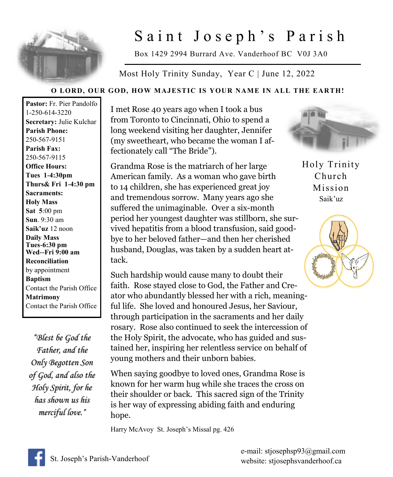

## Saint Joseph's Parish

Box 1429 2994 Burrard Ave. Vanderhoof BC V0J 3A0

Most Holy Trinity Sunday, Year C | June 12, 2022

## **O LORD, OUR GOD, HOW MAJESTIC IS YOUR NAME IN ALL THE EARTH!**

**Pastor:** Fr. Pier Pandolfo 1-250-614-3220 **Secretary:** Julie Kulchar **Parish Phone:** 250-567-9151 **Parish Fax:** 250-567-9115 **Office Hours: Tues 1-4:30pm Thurs& Fri 1-4:30 pm Sacraments: Holy Mass Sat 5**:00 pm **Sun**. 9:30 am **Saik'uz** 12 noon **Daily Mass Tues-6:30 pm Wed--Fri 9:00 am Reconciliation** by appointment **Baptism** Contact the Parish Office **Matrimony** Contact the Parish Office

*"Blest be God the Father, and the Only Begotten Son of God, and also the Holy Spirit, for he has shown us his merciful love."* 

I met Rose 40 years ago when I took a bus from Toronto to Cincinnati, Ohio to spend a long weekend visiting her daughter, Jennifer (my sweetheart, who became the woman I affectionately call "The Bride").

Grandma Rose is the matriarch of her large American family. As a woman who gave birth to 14 children, she has experienced great joy and tremendous sorrow. Many years ago she suffered the unimaginable. Over a six-month period her youngest daughter was stillborn, she survived hepatitis from a blood transfusion, said goodbye to her beloved father—and then her cherished husband, Douglas, was taken by a sudden heart attack.

Such hardship would cause many to doubt their faith. Rose stayed close to God, the Father and Creator who abundantly blessed her with a rich, meaningful life. She loved and honoured Jesus, her Saviour, through participation in the sacraments and her daily rosary. Rose also continued to seek the intercession of the Holy Spirit, the advocate, who has guided and sustained her, inspiring her relentless service on behalf of young mothers and their unborn babies.

When saying goodbye to loved ones, Grandma Rose is known for her warm hug while she traces the cross on their shoulder or back. This sacred sign of the Trinity is her way of expressing abiding faith and enduring hope.

Harry McAvoy St. Joseph's Missal pg. 426



Holy Trinity Church Mission Saik'uz



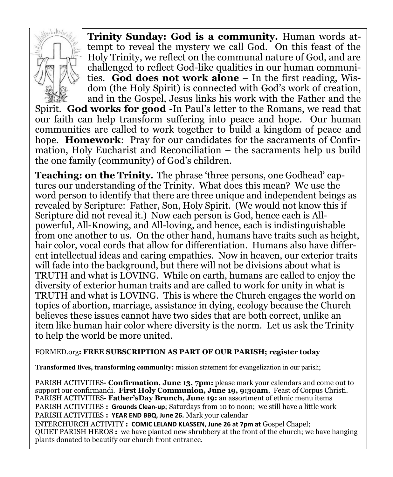

**Trinity Sunday: God is a community.** Human words attempt to reveal the mystery we call God. On this feast of the Holy Trinity, we reflect on the communal nature of God, and are challenged to reflect God-like qualities in our human communities. **God does not work alone** – In the first reading, Wisdom (the Holy Spirit) is connected with God's work of creation, and in the Gospel, Jesus links his work with the Father and the

Spirit. **God works for good** -In Paul's letter to the Romans, we read that our faith can help transform suffering into peace and hope. Our human communities are called to work together to build a kingdom of peace and hope. **Homework**: Pray for our candidates for the sacraments of Confirmation, Holy Eucharist and Reconciliation – the sacraments help us build the one family (community) of God's children.

**Teaching: on the Trinity.** The phrase 'three persons, one Godhead' captures our understanding of the Trinity. What does this mean? We use the word person to identify that there are three unique and independent beings as revealed by Scripture: Father, Son, Holy Spirit. (We would not know this if Scripture did not reveal it.) Now each person is God, hence each is Allpowerful, All-Knowing, and All-loving, and hence, each is indistinguishable from one another to us. On the other hand, humans have traits such as height, hair color, vocal cords that allow for differentiation. Humans also have different intellectual ideas and caring empathies. Now in heaven, our exterior traits will fade into the background, but there will not be divisions about what is TRUTH and what is LOVING. While on earth, humans are called to enjoy the diversity of exterior human traits and are called to work for unity in what is TRUTH and what is LOVING. This is where the Church engages the world on topics of abortion, marriage, assistance in dying, ecology because the Church believes these issues cannot have two sides that are both correct, unlike an item like human hair color where diversity is the norm. Let us ask the Trinity to help the world be more united.

## FORMED.org**: FREE SUBSCRIPTION AS PART OF OUR PARISH; register today**

**Transformed lives, transforming community:** mission statement for evangelization in our parish;

PARISH ACTIVITIES**- Confirmation, June 13, 7pm:** please mark your calendars and come out to support our confirmandi. **First Holy Communion, June 19, 9:30am**, Feast of Corpus Christi. PARISH ACTIVITIES**- Father'sDay Brunch, June 19:** an assortment of ethnic menu items PARISH ACTIVITIES **: Grounds Clean-up**; Saturdays from 10 to noon; we still have a little work PARISH ACTIVITIES **: YEAR END BBQ, June 26.** Mark your calendar

INTERCHURCH ACTIVITY **: COMIC LELAND KLASSEN, June 26 at 7pm at** Gospel Chapel; QUIET PARISH HEROS **:** we have planted new shrubbery at the front of the church; we have hanging plants donated to beautify our church front entrance.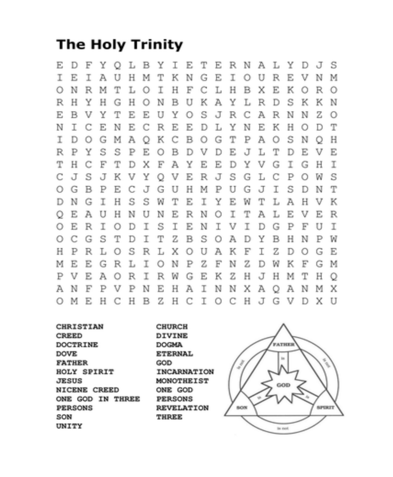## **The Holy Trinity**

DFYQLBYI E. E TERNALYDJS E  $\mathbb T$  $O$  U T E T. A -U H М T -K. N IG. R. E. V Ν M  $\mathbb H$  $\mathbf H$ C.  $\circ$ N R M T L  $\circ$ I. F L. B. X E К О R  $\circ$ H N  $\mathbf{B}$ U L R s R н Y. н G  $\circ$ ĸ A х. D К К Ν S J  $\mathbb{C}$  $\mathbf{F}_i$ E. B. v Y T E. U Y  $\circ$ R A R. N N Z.  $\bigcirc$ N I C E. N E. IC. R E Е D L Y N E К Н О  $\mathbb{D}$ T К  $\mathbb{C}$  $\mathbf{B}$  $\circ$ G  $\mathbb T$ Ι D  $\circ$ G M Α  $\circ$ P A  $\circ$ S N Ο Н Y S S  $\mathbf{E}% _{t}\left| \mathbf{1}\right\rangle =\mathbf{1}_{t}\left| \mathbf{1}\right\rangle$  $\mathbf{B}$ D V  $\mathbb D$  $\mathbf{E}$  $\sqrt{ }$  $\mathbb T$ E R P P О L D Е V  $\mathbf{E}% _{0}$  $\mathbf{E}$ Y T H.  $\mathbb{C}$ F F Т D х A Y Ð V G T G H Т  $\mathbf{E}$ S  $\mathbb{Q}$ J  $\subset$ J s J К V Y V R. G L С P О W S H M I  $\bigcirc$ G B P Е С J G. -U P U G J s D N т н S S  $\mathbb T$ К D N G. I w E I. Y Ε W т L A н V. N L  $\circ$ E. A U н N U Ν Ε R О I. т Α Е V Ε R. I  $\bigcirc$ Е R I О D I s Е Ν I V I D G P F U I  $\circ$ C G S T D  $\mathbb T$ T Ζ B S О A D Y В Н Ν P W н Р R L.  $\Omega$ S R L Х  $\circ$ U A К F Ι Ζ D Ω G E.  $\mathbb Z$ М E Ε R L I О N P F N z D W К F G M G. R  $\mathbf{E}$ P V E A  $\circ$ I R W G К Ζ н J H М т н Q A N F P V P Ν Е Н Α I N N Х A Q A Ν М Х Z H IC.  $\mathbb T$  $O<sub>C</sub>$ H G V  $\circ$ M - E HC. H B J  $\mathbb{D}$ X. - U

**CHRISTIAN CREED DOCTRINE DOVE FATHER** HOLY SPIRIT **JESUS NICENE CREED** ONE GOD IN THREE **PERSONS** SON UNITY

CHURCH DIVINE **DOGMA ETERNAL** GOD INCARNATION MONOTHEIST ONE GOD **PERSONS REVELATION THREE**